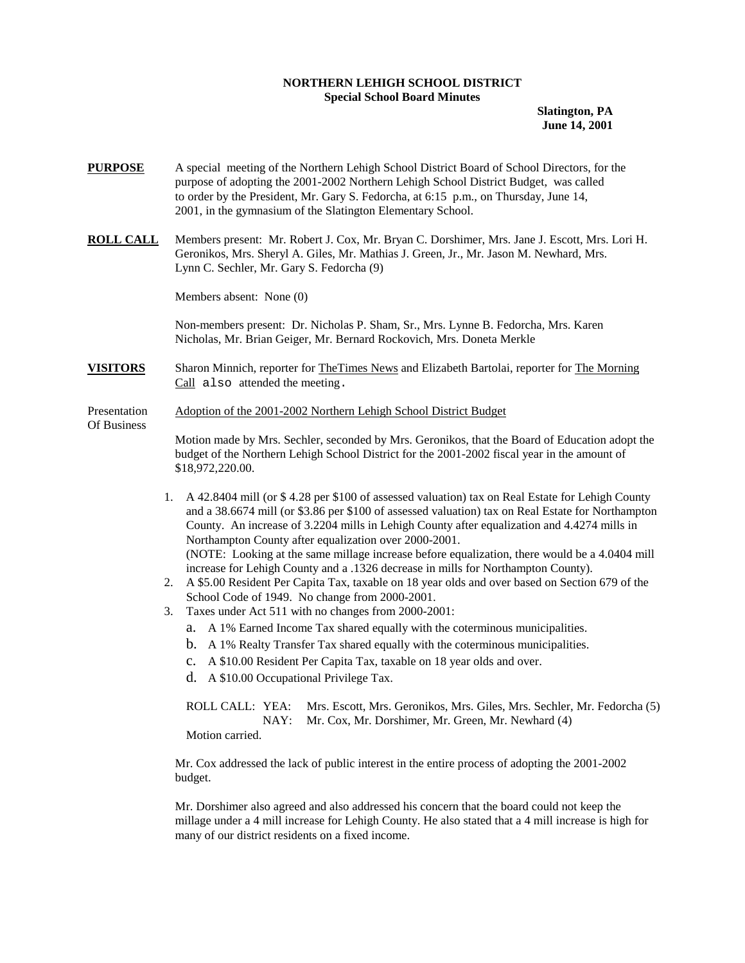## **NORTHERN LEHIGH SCHOOL DISTRICT Special School Board Minutes**

**Slatington, PA June 14, 2001** 

- **PURPOSE** A special meeting of the Northern Lehigh School District Board of School Directors, for the purpose of adopting the 2001-2002 Northern Lehigh School District Budget, was called to order by the President, Mr. Gary S. Fedorcha, at 6:15 p.m., on Thursday, June 14, 2001, in the gymnasium of the Slatington Elementary School.
- **ROLL CALL** Members present: Mr. Robert J. Cox, Mr. Bryan C. Dorshimer, Mrs. Jane J. Escott, Mrs. Lori H. Geronikos, Mrs. Sheryl A. Giles, Mr. Mathias J. Green, Jr., Mr. Jason M. Newhard, Mrs. Lynn C. Sechler, Mr. Gary S. Fedorcha (9)

Members absent: None (0)

Non-members present: Dr. Nicholas P. Sham, Sr., Mrs. Lynne B. Fedorcha, Mrs. Karen Nicholas, Mr. Brian Geiger, Mr. Bernard Rockovich, Mrs. Doneta Merkle

**VISITORS** Sharon Minnich, reporter for TheTimes News and Elizabeth Bartolai, reporter for The Morning Call also attended the meeting.

Presentation Adoption of the 2001-2002 Northern Lehigh School District Budget

Of Business

Motion made by Mrs. Sechler, seconded by Mrs. Geronikos, that the Board of Education adopt the budget of the Northern Lehigh School District for the 2001-2002 fiscal year in the amount of \$18,972,220.00.

- 1. A 42.8404 mill (or \$ 4.28 per \$100 of assessed valuation) tax on Real Estate for Lehigh County and a 38.6674 mill (or \$3.86 per \$100 of assessed valuation) tax on Real Estate for Northampton County. An increase of 3.2204 mills in Lehigh County after equalization and 4.4274 mills in Northampton County after equalization over 2000-2001. (NOTE: Looking at the same millage increase before equalization, there would be a 4.0404 mill increase for Lehigh County and a .1326 decrease in mills for Northampton County).
- 2. A \$5.00 Resident Per Capita Tax, taxable on 18 year olds and over based on Section 679 of the School Code of 1949. No change from 2000-2001.
- 3. Taxes under Act 511 with no changes from 2000-2001:
	- a. A 1% Earned Income Tax shared equally with the coterminous municipalities.
	- b. A 1% Realty Transfer Tax shared equally with the coterminous municipalities.
	- c. A \$10.00 Resident Per Capita Tax, taxable on 18 year olds and over.
	- d. A \$10.00 Occupational Privilege Tax.

 ROLL CALL: YEA: Mrs. Escott, Mrs. Geronikos, Mrs. Giles, Mrs. Sechler, Mr. Fedorcha (5) NAY: Mr. Cox, Mr. Dorshimer, Mr. Green, Mr. Newhard (4)

Motion carried.

Mr. Cox addressed the lack of public interest in the entire process of adopting the 2001-2002 budget.

Mr. Dorshimer also agreed and also addressed his concern that the board could not keep the millage under a 4 mill increase for Lehigh County. He also stated that a 4 mill increase is high for many of our district residents on a fixed income.